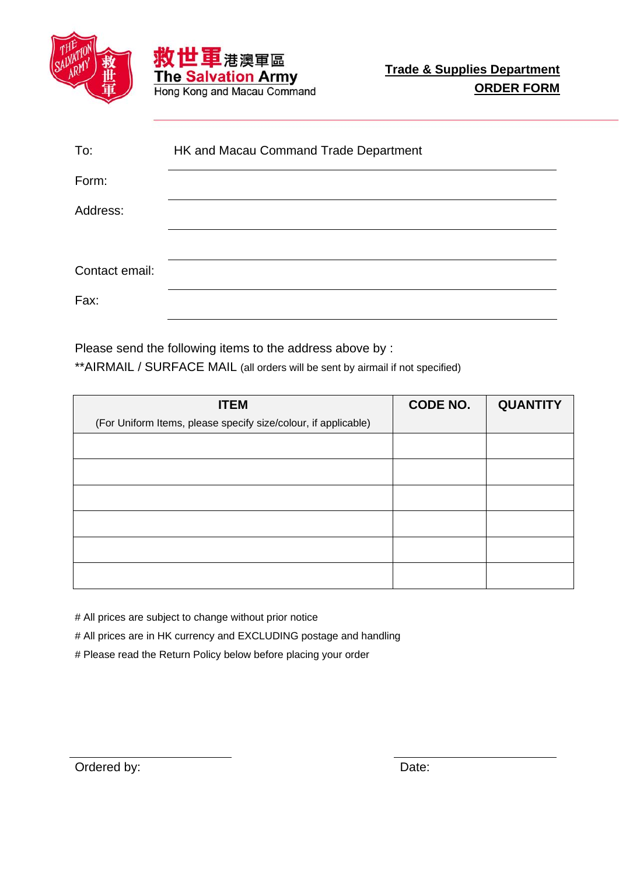



| To:            | HK and Macau Command Trade Department |
|----------------|---------------------------------------|
| Form:          |                                       |
| Address:       |                                       |
|                |                                       |
| Contact email: |                                       |
| Fax:           |                                       |

Please send the following items to the address above by :

\*\*AIRMAIL / SURFACE MAIL (all orders will be sent by airmail if not specified)

| <b>ITEM</b>                                                    | <b>CODE NO.</b> | <b>QUANTITY</b> |
|----------------------------------------------------------------|-----------------|-----------------|
| (For Uniform Items, please specify size/colour, if applicable) |                 |                 |
|                                                                |                 |                 |
|                                                                |                 |                 |
|                                                                |                 |                 |
|                                                                |                 |                 |
|                                                                |                 |                 |
|                                                                |                 |                 |

# All prices are subject to change without prior notice

# All prices are in HK currency and EXCLUDING postage and handling

# Please read the Return Policy below before placing your order

Ordered by: Date: